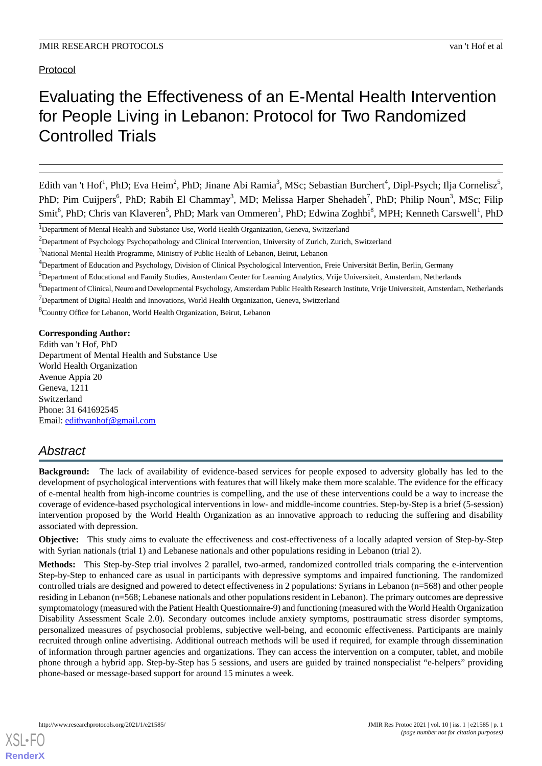Protocol

# Evaluating the Effectiveness of an E-Mental Health Intervention for People Living in Lebanon: Protocol for Two Randomized Controlled Trials

Edith van 't Hof<sup>1</sup>, PhD; Eva Heim<sup>2</sup>, PhD; Jinane Abi Ramia<sup>3</sup>, MSc; Sebastian Burchert<sup>4</sup>, Dipl-Psych; Ilja Cornelisz<sup>5</sup>, PhD; Pim Cuijpers<sup>6</sup>, PhD; Rabih El Chammay<sup>3</sup>, MD; Melissa Harper Shehadeh<sup>7</sup>, PhD; Philip Noun<sup>3</sup>, MSc; Filip Smit<sup>6</sup>, PhD; Chris van Klaveren<sup>5</sup>, PhD; Mark van Ommeren<sup>1</sup>, PhD; Edwina Zoghbi<sup>8</sup>, MPH; Kenneth Carswell<sup>1</sup>, PhD

<sup>5</sup>Department of Educational and Family Studies, Amsterdam Center for Learning Analytics, Vrije Universiteit, Amsterdam, Netherlands

 $7$ Department of Digital Health and Innovations, World Health Organization, Geneva, Switzerland

<sup>8</sup>Country Office for Lebanon, World Health Organization, Beirut, Lebanon

**Corresponding Author:**

Edith van 't Hof, PhD Department of Mental Health and Substance Use World Health Organization Avenue Appia 20 Geneva, 1211 Switzerland Phone: 31 641692545 Email: [edithvanhof@gmail.com](mailto:edithvanhof@gmail.com)

## *Abstract*

**Background:** The lack of availability of evidence-based services for people exposed to adversity globally has led to the development of psychological interventions with features that will likely make them more scalable. The evidence for the efficacy of e-mental health from high-income countries is compelling, and the use of these interventions could be a way to increase the coverage of evidence-based psychological interventions in low- and middle-income countries. Step-by-Step is a brief (5-session) intervention proposed by the World Health Organization as an innovative approach to reducing the suffering and disability associated with depression.

**Objective:** This study aims to evaluate the effectiveness and cost-effectiveness of a locally adapted version of Step-by-Step with Syrian nationals (trial 1) and Lebanese nationals and other populations residing in Lebanon (trial 2).

**Methods:** This Step-by-Step trial involves 2 parallel, two-armed, randomized controlled trials comparing the e-intervention Step-by-Step to enhanced care as usual in participants with depressive symptoms and impaired functioning. The randomized controlled trials are designed and powered to detect effectiveness in 2 populations: Syrians in Lebanon (n=568) and other people residing in Lebanon (n=568; Lebanese nationals and other populations resident in Lebanon). The primary outcomes are depressive symptomatology (measured with the Patient Health Questionnaire-9) and functioning (measured with the World Health Organization Disability Assessment Scale 2.0). Secondary outcomes include anxiety symptoms, posttraumatic stress disorder symptoms, personalized measures of psychosocial problems, subjective well-being, and economic effectiveness. Participants are mainly recruited through online advertising. Additional outreach methods will be used if required, for example through dissemination of information through partner agencies and organizations. They can access the intervention on a computer, tablet, and mobile phone through a hybrid app. Step-by-Step has 5 sessions, and users are guided by trained nonspecialist "e-helpers" providing phone-based or message-based support for around 15 minutes a week.

<sup>&</sup>lt;sup>1</sup>Department of Mental Health and Substance Use, World Health Organization, Geneva, Switzerland

<sup>&</sup>lt;sup>2</sup>Department of Psychology Psychopathology and Clinical Intervention, University of Zurich, Zurich, Switzerland

<sup>&</sup>lt;sup>3</sup>National Mental Health Programme, Ministry of Public Health of Lebanon, Beirut, Lebanon

<sup>4</sup>Department of Education and Psychology, Division of Clinical Psychological Intervention, Freie Universität Berlin, Berlin, Germany

<sup>6</sup>Department of Clinical, Neuro and Developmental Psychology, Amsterdam Public Health Research Institute, Vrije Universiteit, Amsterdam, Netherlands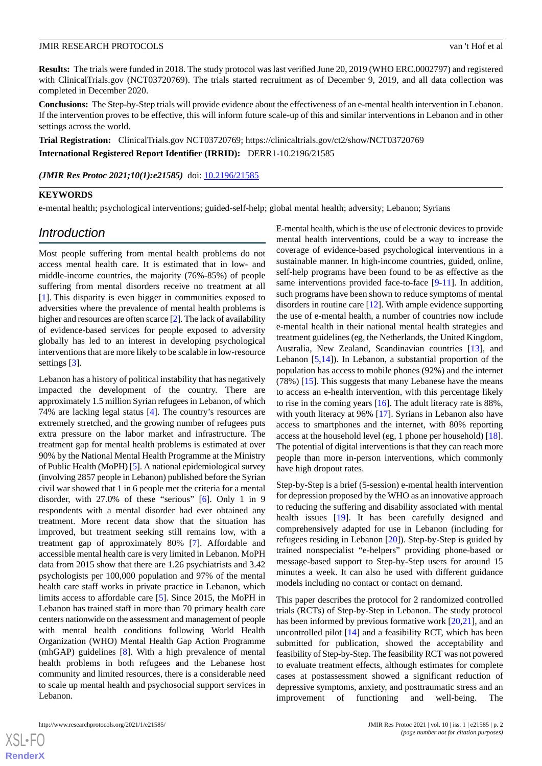**Results:** The trials were funded in 2018. The study protocol was last verified June 20, 2019 (WHO ERC.0002797) and registered with ClinicalTrials.gov (NCT03720769). The trials started recruitment as of December 9, 2019, and all data collection was completed in December 2020.

**Conclusions:** The Step-by-Step trials will provide evidence about the effectiveness of an e-mental health intervention in Lebanon. If the intervention proves to be effective, this will inform future scale-up of this and similar interventions in Lebanon and in other settings across the world.

**Trial Registration:** ClinicalTrials.gov NCT03720769; https://clinicaltrials.gov/ct2/show/NCT03720769

**International Registered Report Identifier (IRRID):** DERR1-10.2196/21585

(JMIR Res Protoc 2021;10(1):e21585) doi: [10.2196/21585](http://dx.doi.org/10.2196/21585)

#### **KEYWORDS**

e-mental health; psychological interventions; guided-self-help; global mental health; adversity; Lebanon; Syrians

## *Introduction*

Most people suffering from mental health problems do not access mental health care. It is estimated that in low- and middle-income countries, the majority (76%-85%) of people suffering from mental disorders receive no treatment at all [[1\]](#page-9-0). This disparity is even bigger in communities exposed to adversities where the prevalence of mental health problems is higher and resources are often scarce [\[2\]](#page-9-1). The lack of availability of evidence-based services for people exposed to adversity globally has led to an interest in developing psychological interventions that are more likely to be scalable in low-resource settings [[3\]](#page-9-2).

Lebanon has a history of political instability that has negatively impacted the development of the country. There are approximately 1.5 million Syrian refugees in Lebanon, of which 74% are lacking legal status [[4\]](#page-9-3). The country's resources are extremely stretched, and the growing number of refugees puts extra pressure on the labor market and infrastructure. The treatment gap for mental health problems is estimated at over 90% by the National Mental Health Programme at the Ministry of Public Health (MoPH) [[5](#page-9-4)]. A national epidemiological survey (involving 2857 people in Lebanon) published before the Syrian civil war showed that 1 in 6 people met the criteria for a mental disorder, with 27.0% of these "serious" [[6\]](#page-9-5). Only 1 in 9 respondents with a mental disorder had ever obtained any treatment. More recent data show that the situation has improved, but treatment seeking still remains low, with a treatment gap of approximately 80% [\[7](#page-9-6)]. Affordable and accessible mental health care is very limited in Lebanon. MoPH data from 2015 show that there are 1.26 psychiatrists and 3.42 psychologists per 100,000 population and 97% of the mental health care staff works in private practice in Lebanon, which limits access to affordable care [\[5](#page-9-4)]. Since 2015, the MoPH in Lebanon has trained staff in more than 70 primary health care centers nationwide on the assessment and management of people with mental health conditions following World Health Organization (WHO) Mental Health Gap Action Programme (mhGAP) guidelines [[8\]](#page-9-7). With a high prevalence of mental health problems in both refugees and the Lebanese host community and limited resources, there is a considerable need to scale up mental health and psychosocial support services in Lebanon.

E-mental health, which is the use of electronic devices to provide mental health interventions, could be a way to increase the coverage of evidence-based psychological interventions in a sustainable manner. In high-income countries, guided, online, self-help programs have been found to be as effective as the same interventions provided face-to-face [[9](#page-9-8)-[11\]](#page-9-9). In addition, such programs have been shown to reduce symptoms of mental disorders in routine care [[12\]](#page-9-10). With ample evidence supporting the use of e-mental health, a number of countries now include e-mental health in their national mental health strategies and treatment guidelines (eg, the Netherlands, the United Kingdom, Australia, New Zealand, Scandinavian countries [\[13](#page-9-11)], and Lebanon [[5](#page-9-4),[14\]](#page-9-12)). In Lebanon, a substantial proportion of the population has access to mobile phones (92%) and the internet (78%) [\[15](#page-9-13)]. This suggests that many Lebanese have the means to access an e-health intervention, with this percentage likely to rise in the coming years [[16\]](#page-9-14). The adult literacy rate is 88%, with youth literacy at 96% [\[17](#page-9-15)]. Syrians in Lebanon also have access to smartphones and the internet, with 80% reporting access at the household level (eg, 1 phone per household) [[18\]](#page-10-0). The potential of digital interventions is that they can reach more people than more in-person interventions, which commonly have high dropout rates.

Step-by-Step is a brief (5-session) e-mental health intervention for depression proposed by the WHO as an innovative approach to reducing the suffering and disability associated with mental health issues [[19\]](#page-10-1). It has been carefully designed and comprehensively adapted for use in Lebanon (including for refugees residing in Lebanon [[20\]](#page-10-2)). Step-by-Step is guided by trained nonspecialist "e-helpers" providing phone-based or message-based support to Step-by-Step users for around 15 minutes a week. It can also be used with different guidance models including no contact or contact on demand.

This paper describes the protocol for 2 randomized controlled trials (RCTs) of Step-by-Step in Lebanon. The study protocol has been informed by previous formative work [[20](#page-10-2)[,21](#page-10-3)], and an uncontrolled pilot [[14\]](#page-9-12) and a feasibility RCT, which has been submitted for publication, showed the acceptability and feasibility of Step-by-Step. The feasibility RCT was not powered to evaluate treatment effects, although estimates for complete cases at postassessment showed a significant reduction of depressive symptoms, anxiety, and posttraumatic stress and an improvement of functioning and well-being. The

 $XS$  $\cdot$ FC **[RenderX](http://www.renderx.com/)**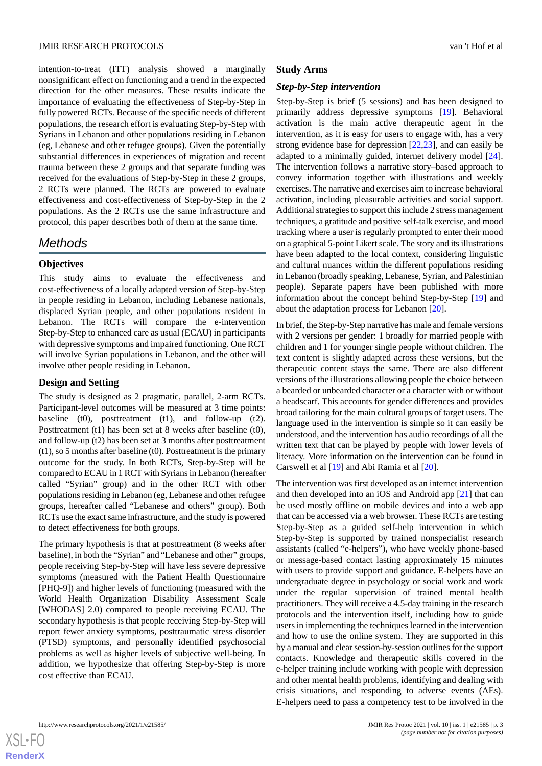intention-to-treat (ITT) analysis showed a marginally nonsignificant effect on functioning and a trend in the expected direction for the other measures. These results indicate the importance of evaluating the effectiveness of Step-by-Step in fully powered RCTs. Because of the specific needs of different populations, the research effort is evaluating Step-by-Step with Syrians in Lebanon and other populations residing in Lebanon (eg, Lebanese and other refugee groups). Given the potentially substantial differences in experiences of migration and recent trauma between these 2 groups and that separate funding was received for the evaluations of Step-by-Step in these 2 groups, 2 RCTs were planned. The RCTs are powered to evaluate effectiveness and cost-effectiveness of Step-by-Step in the 2 populations. As the 2 RCTs use the same infrastructure and protocol, this paper describes both of them at the same time.

## *Methods*

## **Objectives**

This study aims to evaluate the effectiveness and cost-effectiveness of a locally adapted version of Step-by-Step in people residing in Lebanon, including Lebanese nationals, displaced Syrian people, and other populations resident in Lebanon. The RCTs will compare the e-intervention Step-by-Step to enhanced care as usual (ECAU) in participants with depressive symptoms and impaired functioning. One RCT will involve Syrian populations in Lebanon, and the other will involve other people residing in Lebanon.

## **Design and Setting**

The study is designed as 2 pragmatic, parallel, 2-arm RCTs. Participant-level outcomes will be measured at 3 time points: baseline (t0), posttreatment (t1), and follow-up (t2). Posttreatment (t1) has been set at 8 weeks after baseline (t0), and follow-up (t2) has been set at 3 months after posttreatment (t1), so 5 months after baseline (t0). Posttreatment is the primary outcome for the study. In both RCTs, Step-by-Step will be compared to ECAU in 1 RCT with Syrians in Lebanon (hereafter called "Syrian" group) and in the other RCT with other populations residing in Lebanon (eg, Lebanese and other refugee groups, hereafter called "Lebanese and others" group). Both RCTs use the exact same infrastructure, and the study is powered to detect effectiveness for both groups.

The primary hypothesis is that at posttreatment (8 weeks after baseline), in both the "Syrian" and "Lebanese and other" groups, people receiving Step-by-Step will have less severe depressive symptoms (measured with the Patient Health Questionnaire [PHQ-9]) and higher levels of functioning (measured with the World Health Organization Disability Assessment Scale [WHODAS] 2.0) compared to people receiving ECAU. The secondary hypothesis is that people receiving Step-by-Step will report fewer anxiety symptoms, posttraumatic stress disorder (PTSD) symptoms, and personally identified psychosocial problems as well as higher levels of subjective well-being. In addition, we hypothesize that offering Step-by-Step is more cost effective than ECAU.

## **Study Arms**

## *Step-by-Step intervention*

Step-by-Step is brief (5 sessions) and has been designed to primarily address depressive symptoms [\[19](#page-10-1)]. Behavioral activation is the main active therapeutic agent in the intervention, as it is easy for users to engage with, has a very strong evidence base for depression [[22,](#page-10-4)[23](#page-10-5)], and can easily be adapted to a minimally guided, internet delivery model [[24\]](#page-10-6). The intervention follows a narrative story–based approach to convey information together with illustrations and weekly exercises. The narrative and exercises aim to increase behavioral activation, including pleasurable activities and social support. Additional strategies to support this include 2 stress management techniques, a gratitude and positive self-talk exercise, and mood tracking where a user is regularly prompted to enter their mood on a graphical 5-point Likert scale. The story and its illustrations have been adapted to the local context, considering linguistic and cultural nuances within the different populations residing in Lebanon (broadly speaking, Lebanese, Syrian, and Palestinian people). Separate papers have been published with more information about the concept behind Step-by-Step [\[19](#page-10-1)] and about the adaptation process for Lebanon [[20\]](#page-10-2).

In brief, the Step-by-Step narrative has male and female versions with 2 versions per gender: 1 broadly for married people with children and 1 for younger single people without children. The text content is slightly adapted across these versions, but the therapeutic content stays the same. There are also different versions of the illustrations allowing people the choice between a bearded or unbearded character or a character with or without a headscarf. This accounts for gender differences and provides broad tailoring for the main cultural groups of target users. The language used in the intervention is simple so it can easily be understood, and the intervention has audio recordings of all the written text that can be played by people with lower levels of literacy. More information on the intervention can be found in Carswell et al [\[19](#page-10-1)] and Abi Ramia et al [\[20](#page-10-2)].

The intervention was first developed as an internet intervention and then developed into an iOS and Android app [\[21](#page-10-3)] that can be used mostly offline on mobile devices and into a web app that can be accessed via a web browser. These RCTs are testing Step-by-Step as a guided self-help intervention in which Step-by-Step is supported by trained nonspecialist research assistants (called "e-helpers"), who have weekly phone-based or message-based contact lasting approximately 15 minutes with users to provide support and guidance. E-helpers have an undergraduate degree in psychology or social work and work under the regular supervision of trained mental health practitioners. They will receive a 4.5-day training in the research protocols and the intervention itself, including how to guide users in implementing the techniques learned in the intervention and how to use the online system. They are supported in this by a manual and clear session-by-session outlines for the support contacts. Knowledge and therapeutic skills covered in the e-helper training include working with people with depression and other mental health problems, identifying and dealing with crisis situations, and responding to adverse events (AEs). E-helpers need to pass a competency test to be involved in the

 $XS$  $\cdot$ FC **[RenderX](http://www.renderx.com/)**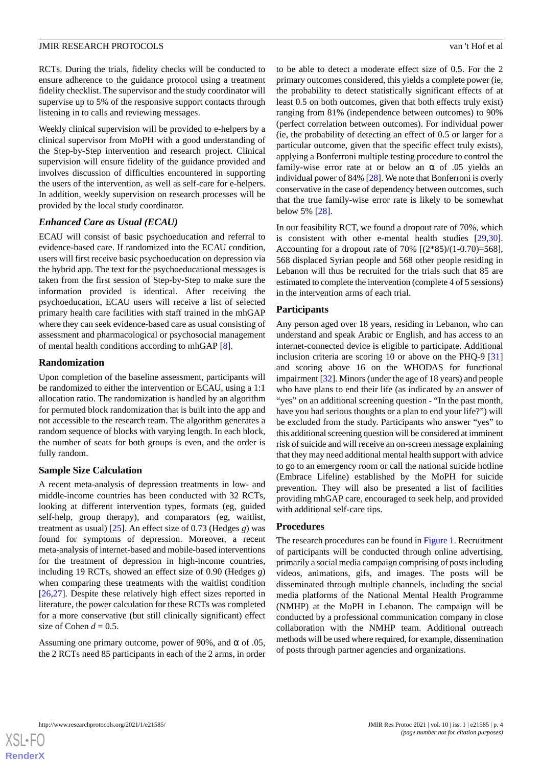RCTs. During the trials, fidelity checks will be conducted to ensure adherence to the guidance protocol using a treatment fidelity checklist. The supervisor and the study coordinator will supervise up to 5% of the responsive support contacts through listening in to calls and reviewing messages.

Weekly clinical supervision will be provided to e-helpers by a clinical supervisor from MoPH with a good understanding of the Step-by-Step intervention and research project. Clinical supervision will ensure fidelity of the guidance provided and involves discussion of difficulties encountered in supporting the users of the intervention, as well as self-care for e-helpers. In addition, weekly supervision on research processes will be provided by the local study coordinator.

## *Enhanced Care as Usual (ECAU)*

ECAU will consist of basic psychoeducation and referral to evidence-based care. If randomized into the ECAU condition, users will first receive basic psychoeducation on depression via the hybrid app. The text for the psychoeducational messages is taken from the first session of Step-by-Step to make sure the information provided is identical. After receiving the psychoeducation, ECAU users will receive a list of selected primary health care facilities with staff trained in the mhGAP where they can seek evidence-based care as usual consisting of assessment and pharmacological or psychosocial management of mental health conditions according to mhGAP [\[8](#page-9-7)].

## **Randomization**

Upon completion of the baseline assessment, participants will be randomized to either the intervention or ECAU, using a 1:1 allocation ratio. The randomization is handled by an algorithm for permuted block randomization that is built into the app and not accessible to the research team. The algorithm generates a random sequence of blocks with varying length. In each block, the number of seats for both groups is even, and the order is fully random.

## **Sample Size Calculation**

A recent meta-analysis of depression treatments in low- and middle-income countries has been conducted with 32 RCTs, looking at different intervention types, formats (eg, guided self-help, group therapy), and comparators (eg, waitlist, treatment as usual) [[25\]](#page-10-7). An effect size of 0.73 (Hedges *g*) was found for symptoms of depression. Moreover, a recent meta-analysis of internet-based and mobile-based interventions for the treatment of depression in high-income countries, including 19 RCTs, showed an effect size of 0.90 (Hedges *g*) when comparing these treatments with the waitlist condition [[26](#page-10-8)[,27](#page-10-9)]. Despite these relatively high effect sizes reported in literature, the power calculation for these RCTs was completed for a more conservative (but still clinically significant) effect size of Cohen  $d = 0.5$ .

Assuming one primary outcome, power of 90%, and  $\alpha$  of 0.05, the 2 RCTs need 85 participants in each of the 2 arms, in order to be able to detect a moderate effect size of 0.5. For the 2 primary outcomes considered, this yields a complete power (ie, the probability to detect statistically significant effects of at least 0.5 on both outcomes, given that both effects truly exist) ranging from 81% (independence between outcomes) to 90% (perfect correlation between outcomes). For individual power (ie, the probability of detecting an effect of 0.5 or larger for a particular outcome, given that the specific effect truly exists), applying a Bonferroni multiple testing procedure to control the family-wise error rate at or below an  $\alpha$  of .05 yields an individual power of 84% [[28\]](#page-10-10). We note that Bonferroni is overly conservative in the case of dependency between outcomes, such that the true family-wise error rate is likely to be somewhat below 5% [[28\]](#page-10-10).

In our feasibility RCT, we found a dropout rate of 70%, which is consistent with other e-mental health studies [\[29](#page-10-11),[30\]](#page-10-12). Accounting for a dropout rate of  $70\%$   $[(2*85)/(1-0.70)=568]$ , 568 displaced Syrian people and 568 other people residing in Lebanon will thus be recruited for the trials such that 85 are estimated to complete the intervention (complete 4 of 5 sessions) in the intervention arms of each trial.

## **Participants**

Any person aged over 18 years, residing in Lebanon, who can understand and speak Arabic or English, and has access to an internet-connected device is eligible to participate. Additional inclusion criteria are scoring 10 or above on the PHQ-9 [\[31](#page-10-13)] and scoring above 16 on the WHODAS for functional impairment [[32\]](#page-10-14). Minors (under the age of 18 years) and people who have plans to end their life (as indicated by an answer of "yes" on an additional screening question - "In the past month, have you had serious thoughts or a plan to end your life?") will be excluded from the study. Participants who answer "yes" to this additional screening question will be considered at imminent risk of suicide and will receive an on-screen message explaining that they may need additional mental health support with advice to go to an emergency room or call the national suicide hotline (Embrace Lifeline) established by the MoPH for suicide prevention. They will also be presented a list of facilities providing mhGAP care, encouraged to seek help, and provided with additional self-care tips.

#### **Procedures**

The research procedures can be found in [Figure 1.](#page-4-0) Recruitment of participants will be conducted through online advertising, primarily a social media campaign comprising of posts including videos, animations, gifs, and images. The posts will be disseminated through multiple channels, including the social media platforms of the National Mental Health Programme (NMHP) at the MoPH in Lebanon. The campaign will be conducted by a professional communication company in close collaboration with the NMHP team. Additional outreach methods will be used where required, for example, dissemination of posts through partner agencies and organizations.



**[RenderX](http://www.renderx.com/)**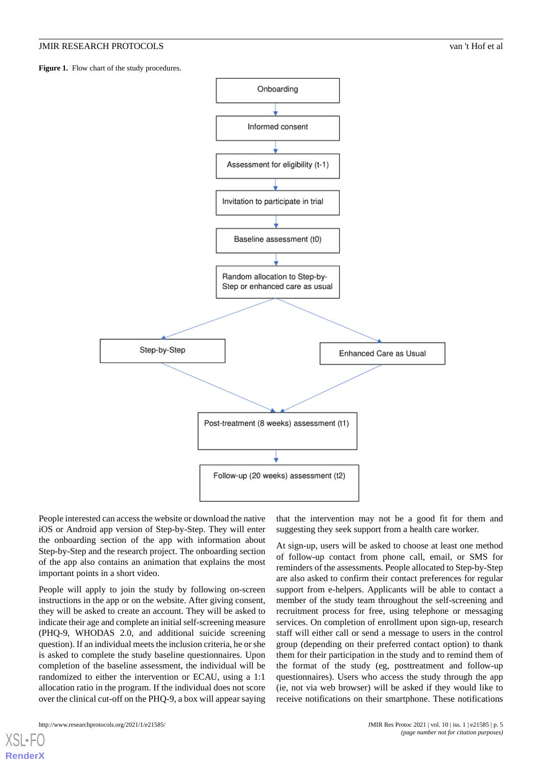<span id="page-4-0"></span>Figure 1. Flow chart of the study procedures.



People interested can access the website or download the native iOS or Android app version of Step-by-Step. They will enter the onboarding section of the app with information about Step-by-Step and the research project. The onboarding section of the app also contains an animation that explains the most important points in a short video.

People will apply to join the study by following on-screen instructions in the app or on the website. After giving consent, they will be asked to create an account. They will be asked to indicate their age and complete an initial self-screening measure (PHQ-9, WHODAS 2.0, and additional suicide screening question). If an individual meets the inclusion criteria, he or she is asked to complete the study baseline questionnaires. Upon completion of the baseline assessment, the individual will be randomized to either the intervention or ECAU, using a 1:1 allocation ratio in the program. If the individual does not score over the clinical cut-off on the PHQ-9, a box will appear saying

[XSL](http://www.w3.org/Style/XSL)•FO **[RenderX](http://www.renderx.com/)**

that the intervention may not be a good fit for them and suggesting they seek support from a health care worker.

At sign-up, users will be asked to choose at least one method of follow-up contact from phone call, email, or SMS for reminders of the assessments. People allocated to Step-by-Step are also asked to confirm their contact preferences for regular support from e-helpers. Applicants will be able to contact a member of the study team throughout the self-screening and recruitment process for free, using telephone or messaging services. On completion of enrollment upon sign-up, research staff will either call or send a message to users in the control group (depending on their preferred contact option) to thank them for their participation in the study and to remind them of the format of the study (eg, posttreatment and follow-up questionnaires). Users who access the study through the app (ie, not via web browser) will be asked if they would like to receive notifications on their smartphone. These notifications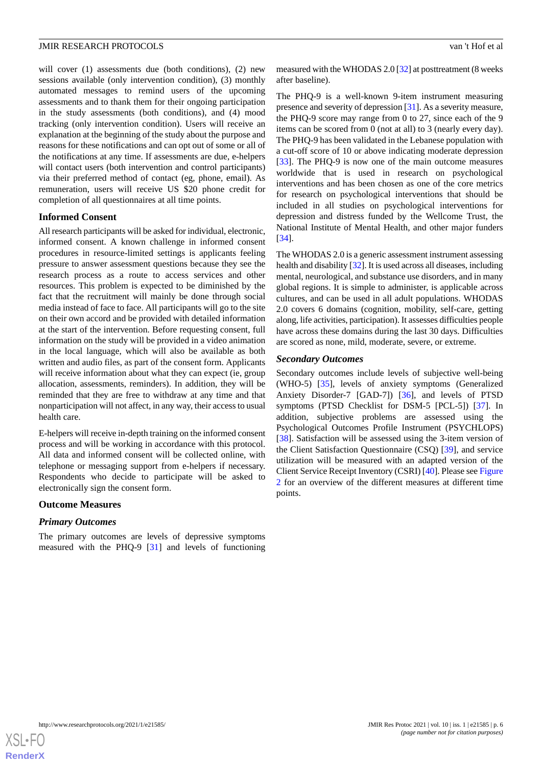will cover (1) assessments due (both conditions), (2) new sessions available (only intervention condition), (3) monthly automated messages to remind users of the upcoming assessments and to thank them for their ongoing participation in the study assessments (both conditions), and (4) mood tracking (only intervention condition). Users will receive an explanation at the beginning of the study about the purpose and reasons for these notifications and can opt out of some or all of the notifications at any time. If assessments are due, e-helpers will contact users (both intervention and control participants) via their preferred method of contact (eg, phone, email). As remuneration, users will receive US \$20 phone credit for completion of all questionnaires at all time points.

#### **Informed Consent**

All research participants will be asked for individual, electronic, informed consent. A known challenge in informed consent procedures in resource-limited settings is applicants feeling pressure to answer assessment questions because they see the research process as a route to access services and other resources. This problem is expected to be diminished by the fact that the recruitment will mainly be done through social media instead of face to face. All participants will go to the site on their own accord and be provided with detailed information at the start of the intervention. Before requesting consent, full information on the study will be provided in a video animation in the local language, which will also be available as both written and audio files, as part of the consent form. Applicants will receive information about what they can expect (ie, group allocation, assessments, reminders). In addition, they will be reminded that they are free to withdraw at any time and that nonparticipation will not affect, in any way, their access to usual health care.

E-helpers will receive in-depth training on the informed consent process and will be working in accordance with this protocol. All data and informed consent will be collected online, with telephone or messaging support from e-helpers if necessary. Respondents who decide to participate will be asked to electronically sign the consent form.

#### **Outcome Measures**

#### *Primary Outcomes*

The primary outcomes are levels of depressive symptoms measured with the PHQ-9 [\[31](#page-10-13)] and levels of functioning

measured with the WHODAS 2.0 [[32\]](#page-10-14) at posttreatment (8 weeks after baseline).

The PHQ-9 is a well-known 9-item instrument measuring presence and severity of depression [\[31](#page-10-13)]. As a severity measure, the PHQ-9 score may range from 0 to 27, since each of the 9 items can be scored from 0 (not at all) to 3 (nearly every day). The PHQ-9 has been validated in the Lebanese population with a cut-off score of 10 or above indicating moderate depression [[33\]](#page-10-15). The PHQ-9 is now one of the main outcome measures worldwide that is used in research on psychological interventions and has been chosen as one of the core metrics for research on psychological interventions that should be included in all studies on psychological interventions for depression and distress funded by the Wellcome Trust, the National Institute of Mental Health, and other major funders [[34\]](#page-10-16).

The WHODAS 2.0 is a generic assessment instrument assessing health and disability [\[32](#page-10-14)]. It is used across all diseases, including mental, neurological, and substance use disorders, and in many global regions. It is simple to administer, is applicable across cultures, and can be used in all adult populations. WHODAS 2.0 covers 6 domains (cognition, mobility, self-care, getting along, life activities, participation). It assesses difficulties people have across these domains during the last 30 days. Difficulties are scored as none, mild, moderate, severe, or extreme.

#### *Secondary Outcomes*

Secondary outcomes include levels of subjective well-being (WHO-5) [\[35](#page-10-17)], levels of anxiety symptoms (Generalized Anxiety Disorder-7 [GAD-7]) [\[36](#page-10-18)], and levels of PTSD symptoms (PTSD Checklist for DSM-5 [PCL-5]) [\[37](#page-10-19)]. In addition, subjective problems are assessed using the Psychological Outcomes Profile Instrument (PSYCHLOPS) [[38\]](#page-10-20). Satisfaction will be assessed using the 3-item version of the Client Satisfaction Questionnaire (CSQ) [\[39](#page-10-21)], and service utilization will be measured with an adapted version of the Client Service Receipt Inventory (CSRI) [\[40](#page-11-0)]. Please see [Figure](#page-6-0) [2](#page-6-0) for an overview of the different measures at different time points.

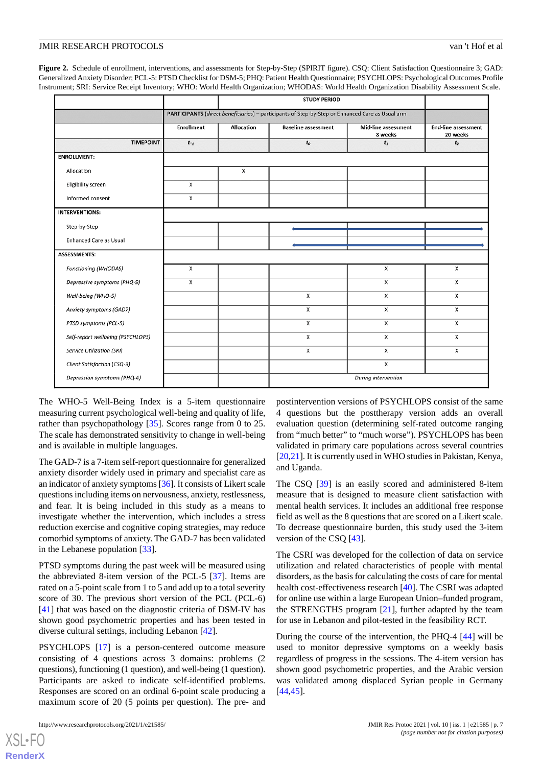<span id="page-6-0"></span>**Figure 2.** Schedule of enrollment, interventions, and assessments for Step-by-Step (SPIRIT figure). CSQ: Client Satisfaction Questionnaire 3; GAD: Generalized Anxiety Disorder; PCL-5: PTSD Checklist for DSM-5; PHQ: Patient Health Questionnaire; PSYCHLOPS: Psychological Outcomes Profile Instrument; SRI: Service Receipt Inventory; WHO: World Health Organization; WHODAS: World Health Organization Disability Assessment Scale.

|                                   | <b>STUDY PERIOD</b>                                                                              |            |                            |                                |                                        |
|-----------------------------------|--------------------------------------------------------------------------------------------------|------------|----------------------------|--------------------------------|----------------------------------------|
|                                   | PARTICIPANTS (direct beneficiaries) - participants of Step-by-Step or Enhanced Care as Usual arm |            |                            |                                |                                        |
|                                   | <b>Enrollment</b>                                                                                | Allocation | <b>Baseline assessment</b> | Mid-line assessment<br>8 weeks | <b>End-line assessment</b><br>20 weeks |
| <b>TIMEPOINT</b>                  | $t - 1$                                                                                          |            | $\boldsymbol{t}_0$         | $t_1$                          | t <sub>2</sub>                         |
| <b>ENROLLMENT:</b>                |                                                                                                  |            |                            |                                |                                        |
| Allocation                        |                                                                                                  | Χ          |                            |                                |                                        |
| Eligibility screen                | х                                                                                                |            |                            |                                |                                        |
| Informed consent                  | х                                                                                                |            |                            |                                |                                        |
| <b>INTERVENTIONS:</b>             |                                                                                                  |            |                            |                                |                                        |
| Step-by-Step                      |                                                                                                  |            |                            |                                |                                        |
| <b>Enhanced Care as Usual</b>     |                                                                                                  |            |                            |                                |                                        |
| <b>ASSESSMENTS:</b>               |                                                                                                  |            |                            |                                |                                        |
| Functioning (WHODAS)              | x                                                                                                |            |                            | x                              | X                                      |
| Depressive symptoms (PHQ-9)       | x                                                                                                |            |                            | x                              | x                                      |
| Well-being (WHO-5)                |                                                                                                  |            | X                          | x                              | X                                      |
| Anxiety symptoms (GAD7)           |                                                                                                  |            | X                          | x                              | X                                      |
| PTSD symptoms (PCL-5)             |                                                                                                  |            | X                          | x                              | X                                      |
| Self-report wellbeing (PSYCHLOPS) |                                                                                                  |            | X                          | Χ                              | $\mathsf{x}$                           |
| Service Utilization (SRI)         |                                                                                                  |            | x                          | х                              | Х                                      |
| Client Satisfaction (CSQ-3)       |                                                                                                  |            |                            | x                              |                                        |
| Depression symptoms (PHQ-4)       |                                                                                                  |            |                            | During intervention            |                                        |

The WHO-5 Well-Being Index is a 5-item questionnaire measuring current psychological well-being and quality of life, rather than psychopathology [[35\]](#page-10-17). Scores range from 0 to 25. The scale has demonstrated sensitivity to change in well-being and is available in multiple languages.

The GAD-7 is a 7-item self-report questionnaire for generalized anxiety disorder widely used in primary and specialist care as an indicator of anxiety symptoms [[36](#page-10-18)]. It consists of Likert scale questions including items on nervousness, anxiety, restlessness, and fear. It is being included in this study as a means to investigate whether the intervention, which includes a stress reduction exercise and cognitive coping strategies, may reduce comorbid symptoms of anxiety. The GAD-7 has been validated in the Lebanese population [\[33](#page-10-15)].

PTSD symptoms during the past week will be measured using the abbreviated 8-item version of the PCL-5 [[37\]](#page-10-19). Items are rated on a 5-point scale from 1 to 5 and add up to a total severity score of 30. The previous short version of the PCL (PCL-6) [[41\]](#page-11-1) that was based on the diagnostic criteria of DSM-IV has shown good psychometric properties and has been tested in diverse cultural settings, including Lebanon [\[42](#page-11-2)].

PSYCHLOPS [\[17](#page-9-15)] is a person-centered outcome measure consisting of 4 questions across 3 domains: problems (2 questions), functioning (1 question), and well-being (1 question). Participants are asked to indicate self-identified problems. Responses are scored on an ordinal 6-point scale producing a maximum score of 20 (5 points per question). The pre- and

[XSL](http://www.w3.org/Style/XSL)•FO **[RenderX](http://www.renderx.com/)**

postintervention versions of PSYCHLOPS consist of the same 4 questions but the posttherapy version adds an overall evaluation question (determining self-rated outcome ranging from "much better" to "much worse"). PSYCHLOPS has been validated in primary care populations across several countries [[20,](#page-10-2)[21\]](#page-10-3). It is currently used in WHO studies in Pakistan, Kenya, and Uganda.

The CSQ [[39\]](#page-10-21) is an easily scored and administered 8-item measure that is designed to measure client satisfaction with mental health services. It includes an additional free response field as well as the 8 questions that are scored on a Likert scale. To decrease questionnaire burden, this study used the 3-item version of the CSQ [\[43](#page-11-3)].

The CSRI was developed for the collection of data on service utilization and related characteristics of people with mental disorders, as the basis for calculating the costs of care for mental health cost-effectiveness research [[40\]](#page-11-0). The CSRI was adapted for online use within a large European Union–funded program, the STRENGTHS program [[21\]](#page-10-3), further adapted by the team for use in Lebanon and pilot-tested in the feasibility RCT.

During the course of the intervention, the PHQ-4 [[44\]](#page-11-4) will be used to monitor depressive symptoms on a weekly basis regardless of progress in the sessions. The 4-item version has shown good psychometric properties, and the Arabic version was validated among displaced Syrian people in Germany [[44,](#page-11-4)[45\]](#page-11-5).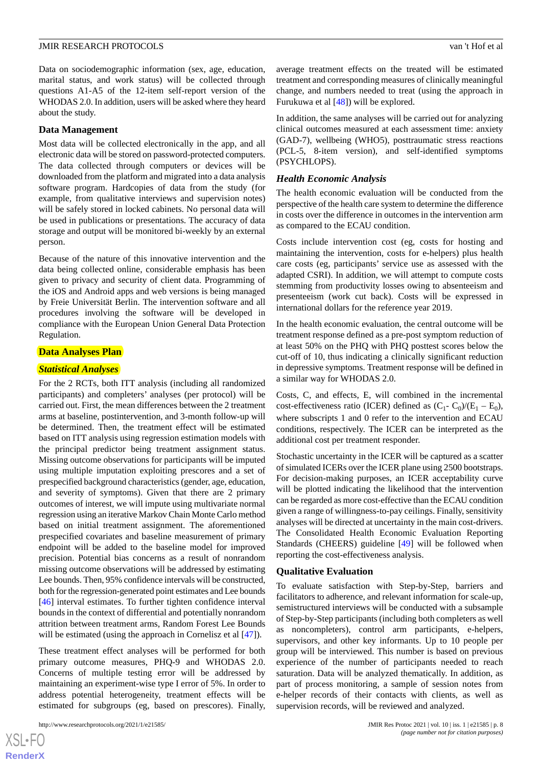Data on sociodemographic information (sex, age, education, marital status, and work status) will be collected through questions A1-A5 of the 12-item self-report version of the WHODAS 2.0. In addition, users will be asked where they heard about the study.

### **Data Management**

Most data will be collected electronically in the app, and all electronic data will be stored on password-protected computers. The data collected through computers or devices will be downloaded from the platform and migrated into a data analysis software program. Hardcopies of data from the study (for example, from qualitative interviews and supervision notes) will be safely stored in locked cabinets. No personal data will be used in publications or presentations. The accuracy of data storage and output will be monitored bi-weekly by an external person.

Because of the nature of this innovative intervention and the data being collected online, considerable emphasis has been given to privacy and security of client data. Programming of the iOS and Android apps and web versions is being managed by Freie Universität Berlin. The intervention software and all procedures involving the software will be developed in compliance with the European Union General Data Protection Regulation.

## **Data Analyses Plan**

#### *Statistical Analyses*

For the 2 RCTs, both ITT analysis (including all randomized participants) and completers' analyses (per protocol) will be carried out. First, the mean differences between the 2 treatment arms at baseline, postintervention, and 3-month follow-up will be determined. Then, the treatment effect will be estimated based on ITT analysis using regression estimation models with the principal predictor being treatment assignment status. Missing outcome observations for participants will be imputed using multiple imputation exploiting prescores and a set of prespecified background characteristics (gender, age, education, and severity of symptoms). Given that there are 2 primary outcomes of interest, we will impute using multivariate normal regression using an iterative Markov Chain Monte Carlo method based on initial treatment assignment. The aforementioned prespecified covariates and baseline measurement of primary endpoint will be added to the baseline model for improved precision. Potential bias concerns as a result of nonrandom missing outcome observations will be addressed by estimating Lee bounds. Then, 95% confidence intervals will be constructed, both for the regression-generated point estimates and Lee bounds [[46\]](#page-11-6) interval estimates. To further tighten confidence interval bounds in the context of differential and potentially nonrandom attrition between treatment arms, Random Forest Lee Bounds will be estimated (using the approach in Cornelisz et al  $[47]$  $[47]$ ).

These treatment effect analyses will be performed for both primary outcome measures, PHQ-9 and WHODAS 2.0. Concerns of multiple testing error will be addressed by maintaining an experiment-wise type I error of 5%. In order to address potential heterogeneity, treatment effects will be estimated for subgroups (eg, based on prescores). Finally,

average treatment effects on the treated will be estimated treatment and corresponding measures of clinically meaningful change, and numbers needed to treat (using the approach in Furukuwa et al [\[48](#page-11-8)]) will be explored.

In addition, the same analyses will be carried out for analyzing clinical outcomes measured at each assessment time: anxiety (GAD-7), wellbeing (WHO5), posttraumatic stress reactions (PCL-5, 8-item version), and self-identified symptoms (PSYCHLOPS).

#### *Health Economic Analysis*

The health economic evaluation will be conducted from the perspective of the health care system to determine the difference in costs over the difference in outcomes in the intervention arm as compared to the ECAU condition.

Costs include intervention cost (eg, costs for hosting and maintaining the intervention, costs for e-helpers) plus health care costs (eg, participants' service use as assessed with the adapted CSRI). In addition, we will attempt to compute costs stemming from productivity losses owing to absenteeism and presenteeism (work cut back). Costs will be expressed in international dollars for the reference year 2019.

In the health economic evaluation, the central outcome will be treatment response defined as a pre-post symptom reduction of at least 50% on the PHQ with PHQ posttest scores below the cut-off of 10, thus indicating a clinically significant reduction in depressive symptoms. Treatment response will be defined in a similar way for WHODAS 2.0.

Costs, C, and effects, E, will combined in the incremental cost-effectiveness ratio (ICER) defined as  $(C_1 - C_0)/(E_1 - E_0)$ , where subscripts 1 and 0 refer to the intervention and ECAU conditions, respectively. The ICER can be interpreted as the additional cost per treatment responder.

Stochastic uncertainty in the ICER will be captured as a scatter of simulated ICERs over the ICER plane using 2500 bootstraps. For decision-making purposes, an ICER acceptability curve will be plotted indicating the likelihood that the intervention can be regarded as more cost-effective than the ECAU condition given a range of willingness-to-pay ceilings. Finally, sensitivity analyses will be directed at uncertainty in the main cost-drivers. The Consolidated Health Economic Evaluation Reporting Standards (CHEERS) guideline [[49\]](#page-11-9) will be followed when reporting the cost-effectiveness analysis.

#### **Qualitative Evaluation**

To evaluate satisfaction with Step-by-Step, barriers and facilitators to adherence, and relevant information for scale-up, semistructured interviews will be conducted with a subsample of Step-by-Step participants (including both completers as well as noncompleters), control arm participants, e-helpers, supervisors, and other key informants. Up to 10 people per group will be interviewed. This number is based on previous experience of the number of participants needed to reach saturation. Data will be analyzed thematically. In addition, as part of process monitoring, a sample of session notes from e-helper records of their contacts with clients, as well as supervision records, will be reviewed and analyzed.

 $XS$ -FO **[RenderX](http://www.renderx.com/)**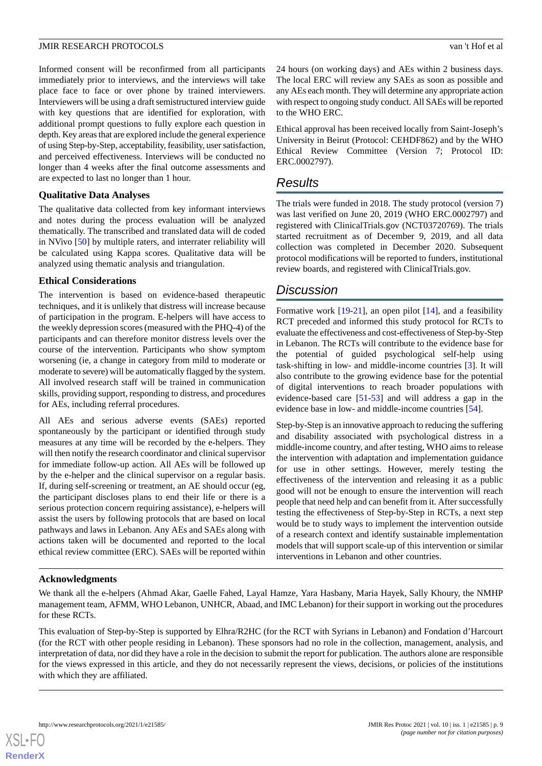Informed consent will be reconfirmed from all participants immediately prior to interviews, and the interviews will take place face to face or over phone by trained interviewers. Interviewers will be using a draft semistructured interview guide with key questions that are identified for exploration, with additional prompt questions to fully explore each question in depth. Key areas that are explored include the general experience of using Step-by-Step, acceptability, feasibility, user satisfaction, and perceived effectiveness. Interviews will be conducted no longer than 4 weeks after the final outcome assessments and are expected to last no longer than 1 hour.

## **Qualitative Data Analyses**

The qualitative data collected from key informant interviews and notes during the process evaluation will be analyzed thematically. The transcribed and translated data will de coded in NVivo [\[50](#page-11-10)] by multiple raters, and interrater reliability will be calculated using Kappa scores. Qualitative data will be analyzed using thematic analysis and triangulation.

## **Ethical Considerations**

The intervention is based on evidence-based therapeutic techniques, and it is unlikely that distress will increase because of participation in the program. E-helpers will have access to the weekly depression scores (measured with the PHQ-4) of the participants and can therefore monitor distress levels over the course of the intervention. Participants who show symptom worsening (ie, a change in category from mild to moderate or moderate to severe) will be automatically flagged by the system. All involved research staff will be trained in communication skills, providing support, responding to distress, and procedures for AEs, including referral procedures.

All AEs and serious adverse events (SAEs) reported spontaneously by the participant or identified through study measures at any time will be recorded by the e-helpers. They will then notify the research coordinator and clinical supervisor for immediate follow-up action. All AEs will be followed up by the e-helper and the clinical supervisor on a regular basis. If, during self-screening or treatment, an AE should occur (eg, the participant discloses plans to end their life or there is a serious protection concern requiring assistance), e-helpers will assist the users by following protocols that are based on local pathways and laws in Lebanon. Any AEs and SAEs along with actions taken will be documented and reported to the local ethical review committee (ERC). SAEs will be reported within 24 hours (on working days) and AEs within 2 business days. The local ERC will review any SAEs as soon as possible and any AEs each month. They will determine any appropriate action with respect to ongoing study conduct. All SAEs will be reported to the WHO ERC.

Ethical approval has been received locally from Saint-Joseph's University in Beirut (Protocol: CEHDF862) and by the WHO Ethical Review Committee (Version 7; Protocol ID: ERC.0002797).

## *Results*

The trials were funded in 2018. The study protocol (version 7) was last verified on June 20, 2019 (WHO ERC.0002797) and registered with ClinicalTrials.gov (NCT03720769). The trials started recruitment as of December 9, 2019, and all data collection was completed in December 2020. Subsequent protocol modifications will be reported to funders, institutional review boards, and registered with ClinicalTrials.gov.

## *Discussion*

Formative work [[19-](#page-10-1)[21](#page-10-3)], an open pilot [[14\]](#page-9-12), and a feasibility RCT preceded and informed this study protocol for RCTs to evaluate the effectiveness and cost-effectiveness of Step-by-Step in Lebanon. The RCTs will contribute to the evidence base for the potential of guided psychological self-help using task-shifting in low- and middle-income countries [[3\]](#page-9-2). It will also contribute to the growing evidence base for the potential of digital interventions to reach broader populations with evidence-based care [\[51](#page-11-11)-[53\]](#page-11-12) and will address a gap in the evidence base in low- and middle-income countries [\[54](#page-11-13)].

Step-by-Step is an innovative approach to reducing the suffering and disability associated with psychological distress in a middle-income country, and after testing, WHO aims to release the intervention with adaptation and implementation guidance for use in other settings. However, merely testing the effectiveness of the intervention and releasing it as a public good will not be enough to ensure the intervention will reach people that need help and can benefit from it. After successfully testing the effectiveness of Step-by-Step in RCTs, a next step would be to study ways to implement the intervention outside of a research context and identify sustainable implementation models that will support scale-up of this intervention or similar interventions in Lebanon and other countries.

## **Acknowledgments**

We thank all the e-helpers (Ahmad Akar, Gaelle Fahed, Layal Hamze, Yara Hasbany, Maria Hayek, Sally Khoury, the NMHP management team, AFMM, WHO Lebanon, UNHCR, Abaad, and IMC Lebanon) for their support in working out the procedures for these RCTs.

This evaluation of Step-by-Step is supported by Elhra/R2HC (for the RCT with Syrians in Lebanon) and Fondation d'Harcourt (for the RCT with other people residing in Lebanon). These sponsors had no role in the collection, management, analysis, and interpretation of data, nor did they have a role in the decision to submit the report for publication. The authors alone are responsible for the views expressed in this article, and they do not necessarily represent the views, decisions, or policies of the institutions with which they are affiliated.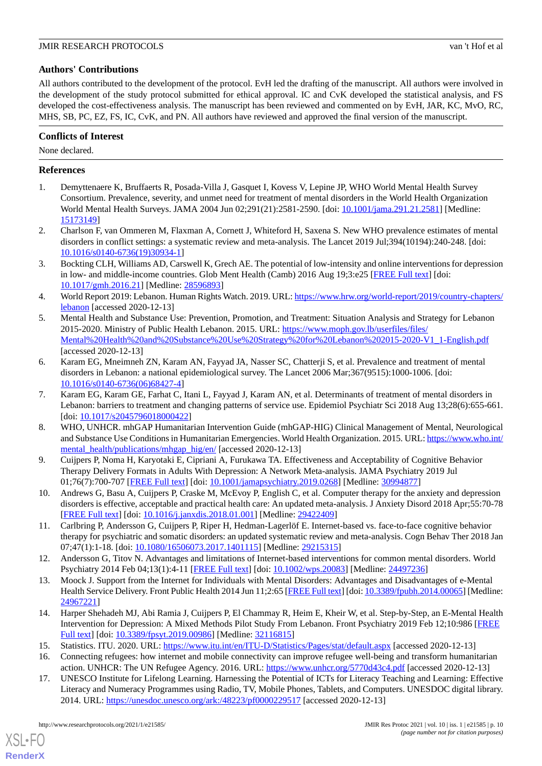## **Authors' Contributions**

All authors contributed to the development of the protocol. EvH led the drafting of the manuscript. All authors were involved in the development of the study protocol submitted for ethical approval. IC and CvK developed the statistical analysis, and FS developed the cost-effectiveness analysis. The manuscript has been reviewed and commented on by EvH, JAR, KC, MvO, RC, MHS, SB, PC, EZ, FS, IC, CvK, and PN. All authors have reviewed and approved the final version of the manuscript.

## **Conflicts of Interest**

None declared.

## <span id="page-9-0"></span>**References**

- <span id="page-9-1"></span>1. Demyttenaere K, Bruffaerts R, Posada-Villa J, Gasquet I, Kovess V, Lepine JP, WHO World Mental Health Survey Consortium. Prevalence, severity, and unmet need for treatment of mental disorders in the World Health Organization World Mental Health Surveys. JAMA 2004 Jun 02;291(21):2581-2590. [doi: [10.1001/jama.291.21.2581\]](http://dx.doi.org/10.1001/jama.291.21.2581) [Medline: [15173149](http://www.ncbi.nlm.nih.gov/entrez/query.fcgi?cmd=Retrieve&db=PubMed&list_uids=15173149&dopt=Abstract)]
- <span id="page-9-2"></span>2. Charlson F, van Ommeren M, Flaxman A, Cornett J, Whiteford H, Saxena S. New WHO prevalence estimates of mental disorders in conflict settings: a systematic review and meta-analysis. The Lancet 2019 Jul;394(10194):240-248. [doi: [10.1016/s0140-6736\(19\)30934-1](http://dx.doi.org/10.1016/s0140-6736(19)30934-1)]
- <span id="page-9-3"></span>3. Bockting CLH, Williams AD, Carswell K, Grech AE. The potential of low-intensity and online interventions for depression in low- and middle-income countries. Glob Ment Health (Camb) 2016 Aug 19;3:e25 [\[FREE Full text\]](http://europepmc.org/abstract/MED/28596893) [doi: [10.1017/gmh.2016.21\]](http://dx.doi.org/10.1017/gmh.2016.21) [Medline: [28596893](http://www.ncbi.nlm.nih.gov/entrez/query.fcgi?cmd=Retrieve&db=PubMed&list_uids=28596893&dopt=Abstract)]
- <span id="page-9-4"></span>4. World Report 2019: Lebanon. Human Rights Watch. 2019. URL: [https://www.hrw.org/world-report/2019/country-chapters/](https://www.hrw.org/world-report/2019/country-chapters/lebanon) [lebanon](https://www.hrw.org/world-report/2019/country-chapters/lebanon) [accessed 2020-12-13]
- <span id="page-9-5"></span>5. Mental Health and Substance Use: Prevention, Promotion, and Treatment: Situation Analysis and Strategy for Lebanon 2015-2020. Ministry of Public Health Lebanon. 2015. URL: [https://www.moph.gov.lb/userfiles/files/](https://www.moph.gov.lb/userfiles/files/Mental%20Health%20and%20Substance%20Use%20Strategy%20for%20Lebanon%202015-2020-V1_1-English.pdf) [Mental%20Health%20and%20Substance%20Use%20Strategy%20for%20Lebanon%202015-2020-V1\\_1-English.pdf](https://www.moph.gov.lb/userfiles/files/Mental%20Health%20and%20Substance%20Use%20Strategy%20for%20Lebanon%202015-2020-V1_1-English.pdf) [accessed 2020-12-13]
- <span id="page-9-6"></span>6. Karam EG, Mneimneh ZN, Karam AN, Fayyad JA, Nasser SC, Chatterji S, et al. Prevalence and treatment of mental disorders in Lebanon: a national epidemiological survey. The Lancet 2006 Mar;367(9515):1000-1006. [doi: [10.1016/s0140-6736\(06\)68427-4](http://dx.doi.org/10.1016/s0140-6736(06)68427-4)]
- <span id="page-9-7"></span>7. Karam EG, Karam GE, Farhat C, Itani L, Fayyad J, Karam AN, et al. Determinants of treatment of mental disorders in Lebanon: barriers to treatment and changing patterns of service use. Epidemiol Psychiatr Sci 2018 Aug 13;28(6):655-661. [doi: [10.1017/s2045796018000422](http://dx.doi.org/10.1017/s2045796018000422)]
- <span id="page-9-8"></span>8. WHO, UNHCR. mhGAP Humanitarian Intervention Guide (mhGAP-HIG) Clinical Management of Mental, Neurological and Substance Use Conditions in Humanitarian Emergencies. World Health Organization. 2015. URL: [https://www.who.int/](https://www.who.int/mental_health/publications/mhgap_hig/en/) [mental\\_health/publications/mhgap\\_hig/en/](https://www.who.int/mental_health/publications/mhgap_hig/en/) [accessed 2020-12-13]
- <span id="page-9-9"></span>9. Cuijpers P, Noma H, Karyotaki E, Cipriani A, Furukawa TA. Effectiveness and Acceptability of Cognitive Behavior Therapy Delivery Formats in Adults With Depression: A Network Meta-analysis. JAMA Psychiatry 2019 Jul 01;76(7):700-707 [[FREE Full text](http://europepmc.org/abstract/MED/30994877)] [doi: [10.1001/jamapsychiatry.2019.0268](http://dx.doi.org/10.1001/jamapsychiatry.2019.0268)] [Medline: [30994877](http://www.ncbi.nlm.nih.gov/entrez/query.fcgi?cmd=Retrieve&db=PubMed&list_uids=30994877&dopt=Abstract)]
- <span id="page-9-10"></span>10. Andrews G, Basu A, Cuijpers P, Craske M, McEvoy P, English C, et al. Computer therapy for the anxiety and depression disorders is effective, acceptable and practical health care: An updated meta-analysis. J Anxiety Disord 2018 Apr;55:70-78 [[FREE Full text](https://linkinghub.elsevier.com/retrieve/pii/S0887-6185(17)30447-4)] [doi: [10.1016/j.janxdis.2018.01.001](http://dx.doi.org/10.1016/j.janxdis.2018.01.001)] [Medline: [29422409](http://www.ncbi.nlm.nih.gov/entrez/query.fcgi?cmd=Retrieve&db=PubMed&list_uids=29422409&dopt=Abstract)]
- <span id="page-9-11"></span>11. Carlbring P, Andersson G, Cuijpers P, Riper H, Hedman-Lagerlöf E. Internet-based vs. face-to-face cognitive behavior therapy for psychiatric and somatic disorders: an updated systematic review and meta-analysis. Cogn Behav Ther 2018 Jan 07;47(1):1-18. [doi: [10.1080/16506073.2017.1401115\]](http://dx.doi.org/10.1080/16506073.2017.1401115) [Medline: [29215315\]](http://www.ncbi.nlm.nih.gov/entrez/query.fcgi?cmd=Retrieve&db=PubMed&list_uids=29215315&dopt=Abstract)
- <span id="page-9-12"></span>12. Andersson G, Titov N. Advantages and limitations of Internet-based interventions for common mental disorders. World Psychiatry 2014 Feb 04;13(1):4-11 [[FREE Full text](https://doi.org/10.1002/wps.20083)] [doi: [10.1002/wps.20083](http://dx.doi.org/10.1002/wps.20083)] [Medline: [24497236\]](http://www.ncbi.nlm.nih.gov/entrez/query.fcgi?cmd=Retrieve&db=PubMed&list_uids=24497236&dopt=Abstract)
- <span id="page-9-14"></span><span id="page-9-13"></span>13. Moock J. Support from the Internet for Individuals with Mental Disorders: Advantages and Disadvantages of e-Mental Health Service Delivery. Front Public Health 2014 Jun 11;2:65 [\[FREE Full text](https://doi.org/10.3389/fpubh.2014.00065)] [doi: [10.3389/fpubh.2014.00065](http://dx.doi.org/10.3389/fpubh.2014.00065)] [Medline: [24967221](http://www.ncbi.nlm.nih.gov/entrez/query.fcgi?cmd=Retrieve&db=PubMed&list_uids=24967221&dopt=Abstract)]
- <span id="page-9-15"></span>14. Harper Shehadeh MJ, Abi Ramia J, Cuijpers P, El Chammay R, Heim E, Kheir W, et al. Step-by-Step, an E-Mental Health Intervention for Depression: A Mixed Methods Pilot Study From Lebanon. Front Psychiatry 2019 Feb 12;10:986 [\[FREE](https://doi.org/10.3389/fpsyt.2019.00986) [Full text\]](https://doi.org/10.3389/fpsyt.2019.00986) [doi: [10.3389/fpsyt.2019.00986](http://dx.doi.org/10.3389/fpsyt.2019.00986)] [Medline: [32116815](http://www.ncbi.nlm.nih.gov/entrez/query.fcgi?cmd=Retrieve&db=PubMed&list_uids=32116815&dopt=Abstract)]
- 15. Statistics. ITU. 2020. URL: <https://www.itu.int/en/ITU-D/Statistics/Pages/stat/default.aspx> [accessed 2020-12-13]
- 16. Connecting refugees: how internet and mobile connectivity can improve refugee well-being and transform humanitarian action. UNHCR: The UN Refugee Agency. 2016. URL: <https://www.unhcr.org/5770d43c4.pdf> [accessed 2020-12-13]
- 17. UNESCO Institute for Lifelong Learning. Harnessing the Potential of ICTs for Literacy Teaching and Learning: Effective Literacy and Numeracy Programmes using Radio, TV, Mobile Phones, Tablets, and Computers. UNESDOC digital library. 2014. URL: <https://unesdoc.unesco.org/ark:/48223/pf0000229517> [accessed 2020-12-13]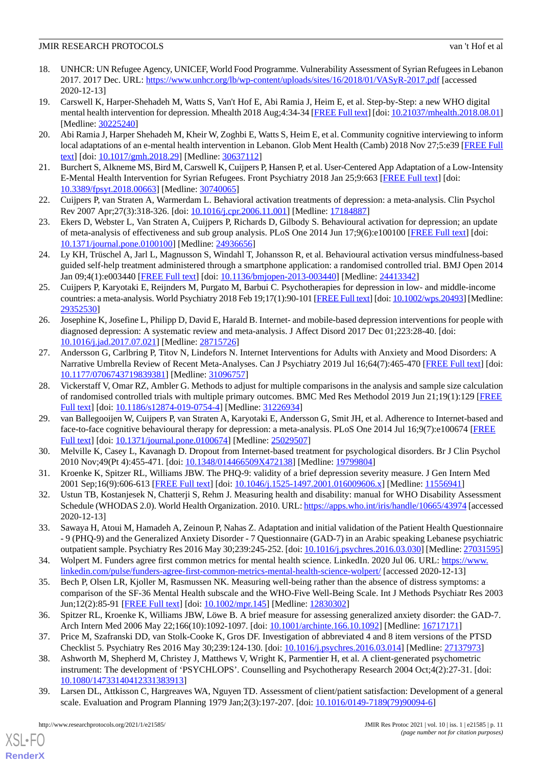- <span id="page-10-0"></span>18. UNHCR: UN Refugee Agency, UNICEF, World Food Programme. Vulnerability Assessment of Syrian Refugees in Lebanon 2017. 2017 Dec. URL:<https://www.unhcr.org/lb/wp-content/uploads/sites/16/2018/01/VASyR-2017.pdf> [accessed 2020-12-13]
- <span id="page-10-1"></span>19. Carswell K, Harper-Shehadeh M, Watts S, Van't Hof E, Abi Ramia J, Heim E, et al. Step-by-Step: a new WHO digital mental health intervention for depression. Mhealth 2018 Aug;4:34-34 [\[FREE Full text](https://doi.org/10.21037/mhealth.2018.08.01)] [doi: [10.21037/mhealth.2018.08.01\]](http://dx.doi.org/10.21037/mhealth.2018.08.01) [Medline: [30225240](http://www.ncbi.nlm.nih.gov/entrez/query.fcgi?cmd=Retrieve&db=PubMed&list_uids=30225240&dopt=Abstract)]
- <span id="page-10-2"></span>20. Abi Ramia J, Harper Shehadeh M, Kheir W, Zoghbi E, Watts S, Heim E, et al. Community cognitive interviewing to inform local adaptations of an e-mental health intervention in Lebanon. Glob Ment Health (Camb) 2018 Nov 27;5:e39 [\[FREE Full](http://europepmc.org/abstract/MED/30637112) [text](http://europepmc.org/abstract/MED/30637112)] [doi: [10.1017/gmh.2018.29\]](http://dx.doi.org/10.1017/gmh.2018.29) [Medline: [30637112](http://www.ncbi.nlm.nih.gov/entrez/query.fcgi?cmd=Retrieve&db=PubMed&list_uids=30637112&dopt=Abstract)]
- <span id="page-10-4"></span><span id="page-10-3"></span>21. Burchert S, Alkneme MS, Bird M, Carswell K, Cuijpers P, Hansen P, et al. User-Centered App Adaptation of a Low-Intensity E-Mental Health Intervention for Syrian Refugees. Front Psychiatry 2018 Jan 25;9:663 [[FREE Full text](https://doi.org/10.3389/fpsyt.2018.00663)] [doi: [10.3389/fpsyt.2018.00663\]](http://dx.doi.org/10.3389/fpsyt.2018.00663) [Medline: [30740065\]](http://www.ncbi.nlm.nih.gov/entrez/query.fcgi?cmd=Retrieve&db=PubMed&list_uids=30740065&dopt=Abstract)
- <span id="page-10-5"></span>22. Cuijpers P, van Straten A, Warmerdam L. Behavioral activation treatments of depression: a meta-analysis. Clin Psychol Rev 2007 Apr;27(3):318-326. [doi: [10.1016/j.cpr.2006.11.001](http://dx.doi.org/10.1016/j.cpr.2006.11.001)] [Medline: [17184887\]](http://www.ncbi.nlm.nih.gov/entrez/query.fcgi?cmd=Retrieve&db=PubMed&list_uids=17184887&dopt=Abstract)
- <span id="page-10-6"></span>23. Ekers D, Webster L, Van Straten A, Cuijpers P, Richards D, Gilbody S. Behavioural activation for depression; an update of meta-analysis of effectiveness and sub group analysis. PLoS One 2014 Jun 17;9(6):e100100 [\[FREE Full text\]](https://dx.plos.org/10.1371/journal.pone.0100100) [doi: [10.1371/journal.pone.0100100\]](http://dx.doi.org/10.1371/journal.pone.0100100) [Medline: [24936656](http://www.ncbi.nlm.nih.gov/entrez/query.fcgi?cmd=Retrieve&db=PubMed&list_uids=24936656&dopt=Abstract)]
- <span id="page-10-7"></span>24. Ly KH, Trüschel A, Jarl L, Magnusson S, Windahl T, Johansson R, et al. Behavioural activation versus mindfulness-based guided self-help treatment administered through a smartphone application: a randomised controlled trial. BMJ Open 2014 Jan 09;4(1):e003440 [[FREE Full text](https://bmjopen.bmj.com/lookup/pmidlookup?view=long&pmid=24413342)] [doi: [10.1136/bmjopen-2013-003440](http://dx.doi.org/10.1136/bmjopen-2013-003440)] [Medline: [24413342](http://www.ncbi.nlm.nih.gov/entrez/query.fcgi?cmd=Retrieve&db=PubMed&list_uids=24413342&dopt=Abstract)]
- <span id="page-10-8"></span>25. Cuijpers P, Karyotaki E, Reijnders M, Purgato M, Barbui C. Psychotherapies for depression in low- and middle-income countries: a meta-analysis. World Psychiatry 2018 Feb 19;17(1):90-101 [\[FREE Full text](https://doi.org/10.1002/wps.20493)] [doi: [10.1002/wps.20493\]](http://dx.doi.org/10.1002/wps.20493) [Medline: [29352530](http://www.ncbi.nlm.nih.gov/entrez/query.fcgi?cmd=Retrieve&db=PubMed&list_uids=29352530&dopt=Abstract)]
- <span id="page-10-9"></span>26. Josephine K, Josefine L, Philipp D, David E, Harald B. Internet- and mobile-based depression interventions for people with diagnosed depression: A systematic review and meta-analysis. J Affect Disord 2017 Dec 01;223:28-40. [doi: [10.1016/j.jad.2017.07.021\]](http://dx.doi.org/10.1016/j.jad.2017.07.021) [Medline: [28715726\]](http://www.ncbi.nlm.nih.gov/entrez/query.fcgi?cmd=Retrieve&db=PubMed&list_uids=28715726&dopt=Abstract)
- <span id="page-10-10"></span>27. Andersson G, Carlbring P, Titov N, Lindefors N. Internet Interventions for Adults with Anxiety and Mood Disorders: A Narrative Umbrella Review of Recent Meta-Analyses. Can J Psychiatry 2019 Jul 16;64(7):465-470 [[FREE Full text](http://europepmc.org/abstract/MED/31096757)] [doi: [10.1177/0706743719839381\]](http://dx.doi.org/10.1177/0706743719839381) [Medline: [31096757\]](http://www.ncbi.nlm.nih.gov/entrez/query.fcgi?cmd=Retrieve&db=PubMed&list_uids=31096757&dopt=Abstract)
- <span id="page-10-11"></span>28. Vickerstaff V, Omar RZ, Ambler G. Methods to adjust for multiple comparisons in the analysis and sample size calculation of randomised controlled trials with multiple primary outcomes. BMC Med Res Methodol 2019 Jun 21;19(1):129 [\[FREE](https://bmcmedresmethodol.biomedcentral.com/articles/10.1186/s12874-019-0754-4) [Full text\]](https://bmcmedresmethodol.biomedcentral.com/articles/10.1186/s12874-019-0754-4) [doi: [10.1186/s12874-019-0754-4](http://dx.doi.org/10.1186/s12874-019-0754-4)] [Medline: [31226934](http://www.ncbi.nlm.nih.gov/entrez/query.fcgi?cmd=Retrieve&db=PubMed&list_uids=31226934&dopt=Abstract)]
- <span id="page-10-13"></span><span id="page-10-12"></span>29. van Ballegooijen W, Cuijpers P, van Straten A, Karyotaki E, Andersson G, Smit JH, et al. Adherence to Internet-based and face-to-face cognitive behavioural therapy for depression: a meta-analysis. PLoS One 2014 Jul 16;9(7):e100674 [[FREE](https://dx.plos.org/10.1371/journal.pone.0100674) [Full text\]](https://dx.plos.org/10.1371/journal.pone.0100674) [doi: [10.1371/journal.pone.0100674](http://dx.doi.org/10.1371/journal.pone.0100674)] [Medline: [25029507](http://www.ncbi.nlm.nih.gov/entrez/query.fcgi?cmd=Retrieve&db=PubMed&list_uids=25029507&dopt=Abstract)]
- <span id="page-10-14"></span>30. Melville K, Casey L, Kavanagh D. Dropout from Internet-based treatment for psychological disorders. Br J Clin Psychol 2010 Nov;49(Pt 4):455-471. [doi: [10.1348/014466509X472138](http://dx.doi.org/10.1348/014466509X472138)] [Medline: [19799804](http://www.ncbi.nlm.nih.gov/entrez/query.fcgi?cmd=Retrieve&db=PubMed&list_uids=19799804&dopt=Abstract)]
- <span id="page-10-15"></span>31. Kroenke K, Spitzer RL, Williams JBW. The PHQ-9: validity of a brief depression severity measure. J Gen Intern Med 2001 Sep;16(9):606-613 [\[FREE Full text\]](https://onlinelibrary.wiley.com/resolve/openurl?genre=article&sid=nlm:pubmed&issn=0884-8734&date=2001&volume=16&issue=9&spage=606) [doi: [10.1046/j.1525-1497.2001.016009606.x](http://dx.doi.org/10.1046/j.1525-1497.2001.016009606.x)] [Medline: [11556941](http://www.ncbi.nlm.nih.gov/entrez/query.fcgi?cmd=Retrieve&db=PubMed&list_uids=11556941&dopt=Abstract)]
- <span id="page-10-16"></span>32. Ustun TB, Kostanjesek N, Chatterji S, Rehm J. Measuring health and disability: manual for WHO Disability Assessment Schedule (WHODAS 2.0). World Health Organization. 2010. URL:<https://apps.who.int/iris/handle/10665/43974> [accessed 2020-12-13]
- <span id="page-10-17"></span>33. Sawaya H, Atoui M, Hamadeh A, Zeinoun P, Nahas Z. Adaptation and initial validation of the Patient Health Questionnaire - 9 (PHQ-9) and the Generalized Anxiety Disorder - 7 Questionnaire (GAD-7) in an Arabic speaking Lebanese psychiatric outpatient sample. Psychiatry Res 2016 May 30;239:245-252. [doi: [10.1016/j.psychres.2016.03.030\]](http://dx.doi.org/10.1016/j.psychres.2016.03.030) [Medline: [27031595](http://www.ncbi.nlm.nih.gov/entrez/query.fcgi?cmd=Retrieve&db=PubMed&list_uids=27031595&dopt=Abstract)]
- <span id="page-10-18"></span>34. Wolpert M. Funders agree first common metrics for mental health science. LinkedIn. 2020 Jul 06. URL: [https://www.](https://www.linkedin.com/pulse/funders-agree-first-common-metrics-mental-health-science-wolpert/) [linkedin.com/pulse/funders-agree-first-common-metrics-mental-health-science-wolpert/](https://www.linkedin.com/pulse/funders-agree-first-common-metrics-mental-health-science-wolpert/) [accessed 2020-12-13]
- <span id="page-10-20"></span><span id="page-10-19"></span>35. Bech P, Olsen LR, Kjoller M, Rasmussen NK. Measuring well-being rather than the absence of distress symptoms: a comparison of the SF-36 Mental Health subscale and the WHO-Five Well-Being Scale. Int J Methods Psychiatr Res 2003 Jun;12(2):85-91 [[FREE Full text](http://europepmc.org/abstract/MED/12830302)] [doi: [10.1002/mpr.145\]](http://dx.doi.org/10.1002/mpr.145) [Medline: [12830302](http://www.ncbi.nlm.nih.gov/entrez/query.fcgi?cmd=Retrieve&db=PubMed&list_uids=12830302&dopt=Abstract)]
- <span id="page-10-21"></span>36. Spitzer RL, Kroenke K, Williams JBW, Löwe B. A brief measure for assessing generalized anxiety disorder: the GAD-7. Arch Intern Med 2006 May 22;166(10):1092-1097. [doi: [10.1001/archinte.166.10.1092](http://dx.doi.org/10.1001/archinte.166.10.1092)] [Medline: [16717171](http://www.ncbi.nlm.nih.gov/entrez/query.fcgi?cmd=Retrieve&db=PubMed&list_uids=16717171&dopt=Abstract)]
- 37. Price M, Szafranski DD, van Stolk-Cooke K, Gros DF. Investigation of abbreviated 4 and 8 item versions of the PTSD Checklist 5. Psychiatry Res 2016 May 30;239:124-130. [doi: [10.1016/j.psychres.2016.03.014\]](http://dx.doi.org/10.1016/j.psychres.2016.03.014) [Medline: [27137973](http://www.ncbi.nlm.nih.gov/entrez/query.fcgi?cmd=Retrieve&db=PubMed&list_uids=27137973&dopt=Abstract)]
- 38. Ashworth M, Shepherd M, Christey J, Matthews V, Wright K, Parmentier H, et al. A client-generated psychometric instrument: The development of 'PSYCHLOPS'. Counselling and Psychotherapy Research 2004 Oct;4(2):27-31. [doi: [10.1080/14733140412331383913\]](http://dx.doi.org/10.1080/14733140412331383913)
- 39. Larsen DL, Attkisson C, Hargreaves WA, Nguyen TD. Assessment of client/patient satisfaction: Development of a general scale. Evaluation and Program Planning 1979 Jan;2(3):197-207. [doi: [10.1016/0149-7189\(79\)90094-6](http://dx.doi.org/10.1016/0149-7189(79)90094-6)]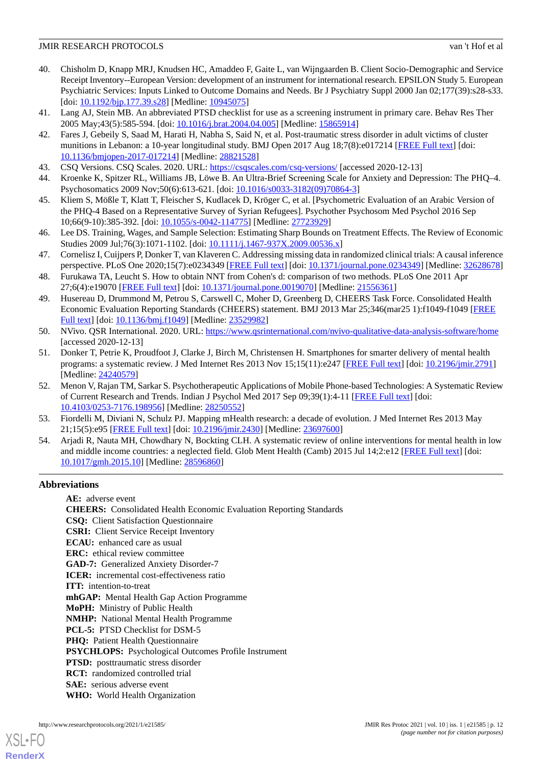- <span id="page-11-0"></span>40. Chisholm D, Knapp MRJ, Knudsen HC, Amaddeo F, Gaite L, van Wijngaarden B. Client Socio-Demographic and Service Receipt Inventory--European Version: development of an instrument for international research. EPSILON Study 5. European Psychiatric Services: Inputs Linked to Outcome Domains and Needs. Br J Psychiatry Suppl 2000 Jan 02;177(39):s28-s33. [doi: [10.1192/bjp.177.39.s28](http://dx.doi.org/10.1192/bjp.177.39.s28)] [Medline: [10945075](http://www.ncbi.nlm.nih.gov/entrez/query.fcgi?cmd=Retrieve&db=PubMed&list_uids=10945075&dopt=Abstract)]
- <span id="page-11-2"></span><span id="page-11-1"></span>41. Lang AJ, Stein MB. An abbreviated PTSD checklist for use as a screening instrument in primary care. Behav Res Ther 2005 May;43(5):585-594. [doi: [10.1016/j.brat.2004.04.005\]](http://dx.doi.org/10.1016/j.brat.2004.04.005) [Medline: [15865914\]](http://www.ncbi.nlm.nih.gov/entrez/query.fcgi?cmd=Retrieve&db=PubMed&list_uids=15865914&dopt=Abstract)
- 42. Fares J, Gebeily S, Saad M, Harati H, Nabha S, Said N, et al. Post-traumatic stress disorder in adult victims of cluster munitions in Lebanon: a 10-year longitudinal study. BMJ Open 2017 Aug 18;7(8):e017214 [\[FREE Full text\]](https://bmjopen.bmj.com/lookup/pmidlookup?view=long&pmid=28821528) [doi: [10.1136/bmjopen-2017-017214\]](http://dx.doi.org/10.1136/bmjopen-2017-017214) [Medline: [28821528](http://www.ncbi.nlm.nih.gov/entrez/query.fcgi?cmd=Retrieve&db=PubMed&list_uids=28821528&dopt=Abstract)]
- <span id="page-11-4"></span><span id="page-11-3"></span>43. CSQ Versions. CSQ Scales. 2020. URL: <https://csqscales.com/csq-versions/> [accessed 2020-12-13]
- <span id="page-11-5"></span>44. Kroenke K, Spitzer RL, Williams JB, Löwe B. An Ultra-Brief Screening Scale for Anxiety and Depression: The PHQ–4. Psychosomatics 2009 Nov;50(6):613-621. [doi: [10.1016/s0033-3182\(09\)70864-3\]](http://dx.doi.org/10.1016/s0033-3182(09)70864-3)
- <span id="page-11-6"></span>45. Kliem S, Mößle T, Klatt T, Fleischer S, Kudlacek D, Kröger C, et al. [Psychometric Evaluation of an Arabic Version of the PHQ-4 Based on a Representative Survey of Syrian Refugees]. Psychother Psychosom Med Psychol 2016 Sep 10;66(9-10):385-392. [doi: [10.1055/s-0042-114775\]](http://dx.doi.org/10.1055/s-0042-114775) [Medline: [27723929](http://www.ncbi.nlm.nih.gov/entrez/query.fcgi?cmd=Retrieve&db=PubMed&list_uids=27723929&dopt=Abstract)]
- <span id="page-11-7"></span>46. Lee DS. Training, Wages, and Sample Selection: Estimating Sharp Bounds on Treatment Effects. The Review of Economic Studies 2009 Jul;76(3):1071-1102. [doi: [10.1111/j.1467-937X.2009.00536.x](http://dx.doi.org/10.1111/j.1467-937X.2009.00536.x)]
- <span id="page-11-8"></span>47. Cornelisz I, Cuijpers P, Donker T, van Klaveren C. Addressing missing data in randomized clinical trials: A causal inference perspective. PLoS One 2020;15(7):e0234349 [\[FREE Full text](https://dx.plos.org/10.1371/journal.pone.0234349)] [doi: [10.1371/journal.pone.0234349](http://dx.doi.org/10.1371/journal.pone.0234349)] [Medline: [32628678](http://www.ncbi.nlm.nih.gov/entrez/query.fcgi?cmd=Retrieve&db=PubMed&list_uids=32628678&dopt=Abstract)]
- <span id="page-11-9"></span>48. Furukawa TA, Leucht S. How to obtain NNT from Cohen's d: comparison of two methods. PLoS One 2011 Apr 27;6(4):e19070 [\[FREE Full text](https://dx.plos.org/10.1371/journal.pone.0019070)] [doi: [10.1371/journal.pone.0019070\]](http://dx.doi.org/10.1371/journal.pone.0019070) [Medline: [21556361](http://www.ncbi.nlm.nih.gov/entrez/query.fcgi?cmd=Retrieve&db=PubMed&list_uids=21556361&dopt=Abstract)]
- <span id="page-11-10"></span>49. Husereau D, Drummond M, Petrou S, Carswell C, Moher D, Greenberg D, CHEERS Task Force. Consolidated Health Economic Evaluation Reporting Standards (CHEERS) statement. BMJ 2013 Mar 25;346(mar25 1):f1049-f1049 [\[FREE](http://www.bmj.com/lookup/pmidlookup?view=long&pmid=23529982) [Full text\]](http://www.bmj.com/lookup/pmidlookup?view=long&pmid=23529982) [doi: [10.1136/bmj.f1049\]](http://dx.doi.org/10.1136/bmj.f1049) [Medline: [23529982\]](http://www.ncbi.nlm.nih.gov/entrez/query.fcgi?cmd=Retrieve&db=PubMed&list_uids=23529982&dopt=Abstract)
- <span id="page-11-11"></span>50. NVivo. QSR International. 2020. URL:<https://www.qsrinternational.com/nvivo-qualitative-data-analysis-software/home> [accessed 2020-12-13]
- 51. Donker T, Petrie K, Proudfoot J, Clarke J, Birch M, Christensen H. Smartphones for smarter delivery of mental health programs: a systematic review. J Med Internet Res 2013 Nov 15;15(11):e247 [\[FREE Full text\]](https://www.jmir.org/2013/11/e247/) [doi: [10.2196/jmir.2791\]](http://dx.doi.org/10.2196/jmir.2791) [Medline: [24240579](http://www.ncbi.nlm.nih.gov/entrez/query.fcgi?cmd=Retrieve&db=PubMed&list_uids=24240579&dopt=Abstract)]
- <span id="page-11-13"></span><span id="page-11-12"></span>52. Menon V, Rajan TM, Sarkar S. Psychotherapeutic Applications of Mobile Phone-based Technologies: A Systematic Review of Current Research and Trends. Indian J Psychol Med 2017 Sep 09;39(1):4-11 [[FREE Full text](https://journals.sagepub.com/doi/10.4103/0253-7176.198956?url_ver=Z39.88-2003&rfr_id=ori:rid:crossref.org&rfr_dat=cr_pub%3dpubmed)] [doi: [10.4103/0253-7176.198956\]](http://dx.doi.org/10.4103/0253-7176.198956) [Medline: [28250552](http://www.ncbi.nlm.nih.gov/entrez/query.fcgi?cmd=Retrieve&db=PubMed&list_uids=28250552&dopt=Abstract)]
- 53. Fiordelli M, Diviani N, Schulz PJ. Mapping mHealth research: a decade of evolution. J Med Internet Res 2013 May 21;15(5):e95 [\[FREE Full text](https://www.jmir.org/2013/5/e95/)] [doi: [10.2196/jmir.2430\]](http://dx.doi.org/10.2196/jmir.2430) [Medline: [23697600](http://www.ncbi.nlm.nih.gov/entrez/query.fcgi?cmd=Retrieve&db=PubMed&list_uids=23697600&dopt=Abstract)]
- 54. Arjadi R, Nauta MH, Chowdhary N, Bockting CLH. A systematic review of online interventions for mental health in low and middle income countries: a neglected field. Glob Ment Health (Camb) 2015 Jul 14;2:e12 [\[FREE Full text\]](http://europepmc.org/abstract/MED/28596860) [doi: [10.1017/gmh.2015.10\]](http://dx.doi.org/10.1017/gmh.2015.10) [Medline: [28596860](http://www.ncbi.nlm.nih.gov/entrez/query.fcgi?cmd=Retrieve&db=PubMed&list_uids=28596860&dopt=Abstract)]

## **Abbreviations**

**AE:** adverse event **CHEERS:** Consolidated Health Economic Evaluation Reporting Standards **CSQ:** Client Satisfaction Questionnaire **CSRI:** Client Service Receipt Inventory **ECAU:** enhanced care as usual **ERC:** ethical review committee **GAD-7:** Generalized Anxiety Disorder-7 **ICER:** incremental cost-effectiveness ratio **ITT:** intention-to-treat **mhGAP:** Mental Health Gap Action Programme **MoPH:** Ministry of Public Health **NMHP:** National Mental Health Programme **PCL-5:** PTSD Checklist for DSM-5 PHQ: Patient Health Questionnaire **PSYCHLOPS:** Psychological Outcomes Profile Instrument **PTSD:** posttraumatic stress disorder **RCT:** randomized controlled trial **SAE:** serious adverse event **WHO:** World Health Organization